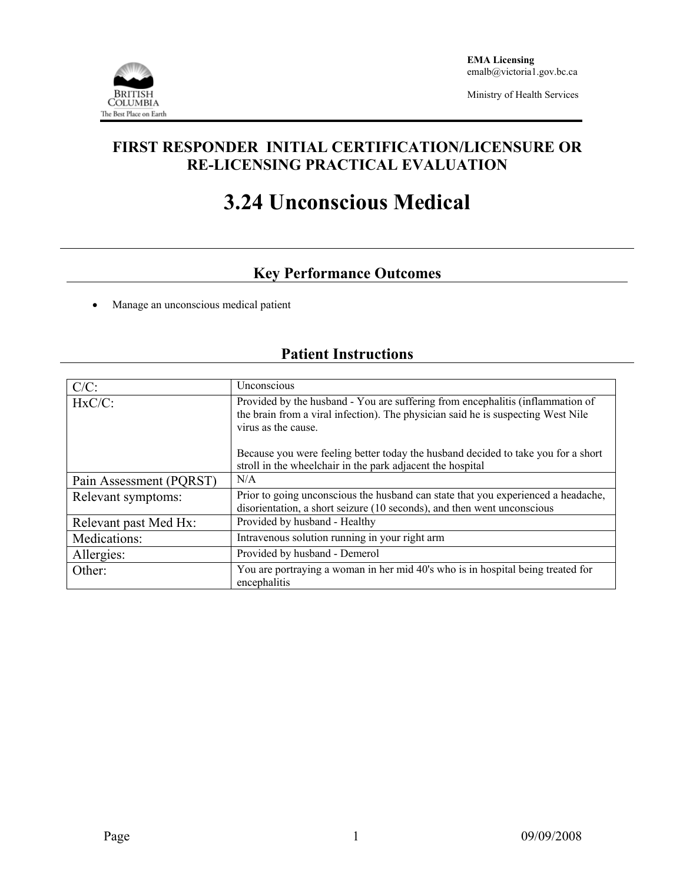

Ministry of Health Services

## **FIRST RESPONDER INITIAL CERTIFICATION/LICENSURE OR RE-LICENSING PRACTICAL EVALUATION**

# **3.24 Unconscious Medical**

# **Key Performance Outcomes**

• Manage an unconscious medical patient

## **Patient Instructions**

| $C/C$ :                 | Unconscious                                                                                                                                                                               |  |
|-------------------------|-------------------------------------------------------------------------------------------------------------------------------------------------------------------------------------------|--|
| $HxC/C$ :               | Provided by the husband - You are suffering from encephalitis (inflammation of<br>the brain from a viral infection). The physician said he is suspecting West Nile<br>virus as the cause. |  |
|                         | Because you were feeling better today the husband decided to take you for a short<br>stroll in the wheelchair in the park adjacent the hospital                                           |  |
| Pain Assessment (PQRST) | N/A                                                                                                                                                                                       |  |
| Relevant symptoms:      | Prior to going unconscious the husband can state that you experienced a headache,<br>disorientation, a short seizure (10 seconds), and then went unconscious                              |  |
| Relevant past Med Hx:   | Provided by husband - Healthy                                                                                                                                                             |  |
| Medications:            | Intravenous solution running in your right arm                                                                                                                                            |  |
| Allergies:              | Provided by husband - Demerol                                                                                                                                                             |  |
| Other:                  | You are portraying a woman in her mid 40's who is in hospital being treated for<br>encephalitis                                                                                           |  |